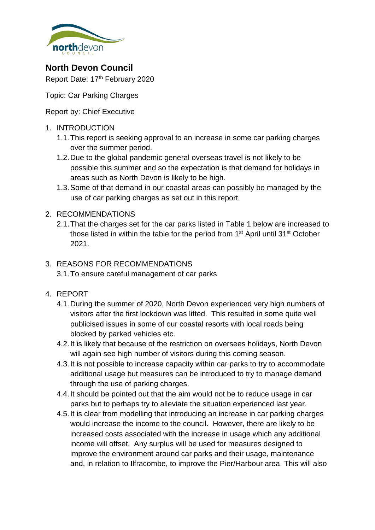

**North Devon Council**

Report Date: 17<sup>th</sup> February 2020

Topic: Car Parking Charges

Report by: Chief Executive

- 1. INTRODUCTION
	- 1.1.This report is seeking approval to an increase in some car parking charges over the summer period.
	- 1.2.Due to the global pandemic general overseas travel is not likely to be possible this summer and so the expectation is that demand for holidays in areas such as North Devon is likely to be high.
	- 1.3.Some of that demand in our coastal areas can possibly be managed by the use of car parking charges as set out in this report.

## 2. RECOMMENDATIONS

2.1.That the charges set for the car parks listed in Table 1 below are increased to those listed in within the table for the period from 1<sup>st</sup> April until 31<sup>st</sup> October 2021.

## 3. REASONS FOR RECOMMENDATIONS

3.1.To ensure careful management of car parks

- 4. REPORT
	- 4.1.During the summer of 2020, North Devon experienced very high numbers of visitors after the first lockdown was lifted. This resulted in some quite well publicised issues in some of our coastal resorts with local roads being blocked by parked vehicles etc.
	- 4.2.It is likely that because of the restriction on oversees holidays, North Devon will again see high number of visitors during this coming season.
	- 4.3.It is not possible to increase capacity within car parks to try to accommodate additional usage but measures can be introduced to try to manage demand through the use of parking charges.
	- 4.4.It should be pointed out that the aim would not be to reduce usage in car parks but to perhaps try to alleviate the situation experienced last year.
	- 4.5.It is clear from modelling that introducing an increase in car parking charges would increase the income to the council. However, there are likely to be increased costs associated with the increase in usage which any additional income will offset. Any surplus will be used for measures designed to improve the environment around car parks and their usage, maintenance and, in relation to Ilfracombe, to improve the Pier/Harbour area. This will also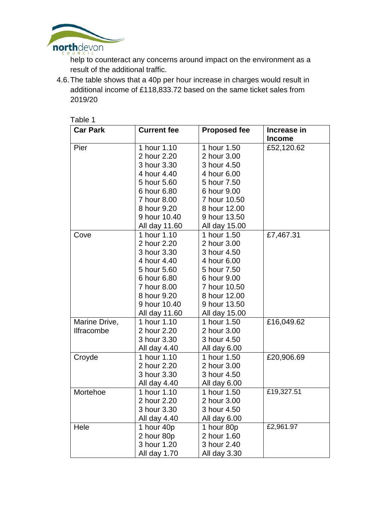

help to counteract any concerns around impact on the environment as a result of the additional traffic.

4.6.The table shows that a 40p per hour increase in charges would result in additional income of £118,833.72 based on the same ticket sales from 2019/20

| Table 1           |                    |                     |               |
|-------------------|--------------------|---------------------|---------------|
| <b>Car Park</b>   | <b>Current fee</b> | <b>Proposed fee</b> | Increase in   |
|                   |                    |                     | <b>Income</b> |
| Pier              | 1 hour 1.10        | 1 hour 1.50         | £52,120.62    |
|                   | 2 hour 2.20        | 2 hour 3.00         |               |
|                   | 3 hour 3.30        | 3 hour 4.50         |               |
|                   | 4 hour 4.40        | 4 hour 6.00         |               |
|                   | 5 hour 5.60        | 5 hour 7.50         |               |
|                   | 6 hour 6.80        | 6 hour 9.00         |               |
|                   | 7 hour 8.00        | 7 hour 10.50        |               |
|                   | 8 hour 9.20        | 8 hour 12.00        |               |
|                   | 9 hour 10.40       | 9 hour 13.50        |               |
|                   | All day 11.60      | All day 15.00       |               |
| Cove              | 1 hour 1.10        | 1 hour 1.50         | £7,467.31     |
|                   | 2 hour 2.20        | 2 hour 3.00         |               |
|                   | 3 hour 3.30        | 3 hour 4.50         |               |
|                   | 4 hour 4.40        | 4 hour 6.00         |               |
|                   | 5 hour 5.60        | 5 hour 7.50         |               |
|                   | 6 hour 6.80        | 6 hour 9.00         |               |
|                   | 7 hour 8.00        | 7 hour 10.50        |               |
|                   | 8 hour 9.20        | 8 hour 12.00        |               |
|                   | 9 hour 10.40       | 9 hour 13.50        |               |
|                   | All day 11.60      | All day 15.00       |               |
| Marine Drive,     | 1 hour 1.10        | 1 hour 1.50         | £16,049.62    |
| <b>Ilfracombe</b> | 2 hour 2.20        | 2 hour 3.00         |               |
|                   | 3 hour 3.30        | 3 hour 4.50         |               |
|                   | All day 4.40       | All day 6.00        |               |
| Croyde            | 1 hour 1.10        | 1 hour 1.50         | £20,906.69    |
|                   | 2 hour 2.20        | 2 hour 3.00         |               |
|                   | 3 hour 3.30        | 3 hour 4.50         |               |
|                   | All day 4.40       | All day 6.00        |               |
| Mortehoe          | 1 hour 1.10        | 1 hour 1.50         | £19,327.51    |
|                   | 2 hour 2.20        | 2 hour 3.00         |               |
|                   | 3 hour 3.30        | 3 hour 4.50         |               |
|                   | All day 4.40       | All day 6.00        |               |
| Hele              | 1 hour 40p         | 1 hour 80p          | £2,961.97     |
|                   | 2 hour 80p         | 2 hour 1.60         |               |
|                   | 3 hour 1.20        | 3 hour 2.40         |               |
|                   | All day 1.70       | All day 3.30        |               |